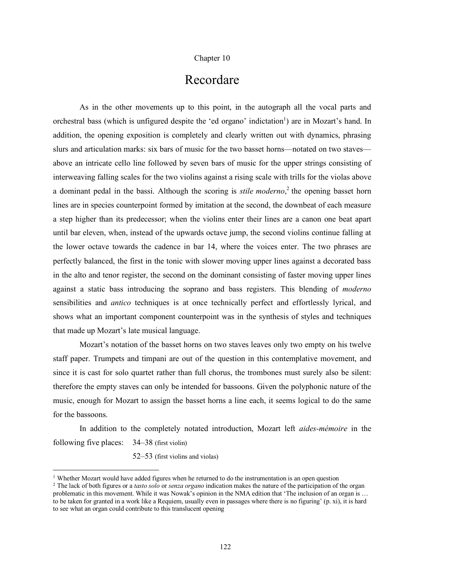## Chapter 10

## Recordare

As in the other movements up to this point, in the autograph all the vocal parts and orchestral bass (which is unfigured despite the 'ed organo' indictation<sup>1</sup>) are in Mozart's hand. In addition, the opening exposition is completely and clearly written out with dynamics, phrasing slurs and articulation marks: six bars of music for the two basset horns—notated on two staves above an intricate cello line followed by seven bars of music for the upper strings consisting of interweaving falling scales for the two violins against a rising scale with trills for the violas above a dominant pedal in the bassi. Although the scoring is *stile moderno*, <sup>2</sup> the opening basset horn lines are in species counterpoint formed by imitation at the second, the downbeat of each measure a step higher than its predecessor; when the violins enter their lines are a canon one beat apart until bar eleven, when, instead of the upwards octave jump, the second violins continue falling at the lower octave towards the cadence in bar 14, where the voices enter. The two phrases are perfectly balanced, the first in the tonic with slower moving upper lines against a decorated bass in the alto and tenor register, the second on the dominant consisting of faster moving upper lines against a static bass introducing the soprano and bass registers. This blending of *moderno* sensibilities and *antico* techniques is at once technically perfect and effortlessly lyrical, and shows what an important component counterpoint was in the synthesis of styles and techniques that made up Mozart's late musical language.

Mozart's notation of the basset horns on two staves leaves only two empty on his twelve staff paper. Trumpets and timpani are out of the question in this contemplative movement, and since it is cast for solo quartet rather than full chorus, the trombones must surely also be silent: therefore the empty staves can only be intended for bassoons. Given the polyphonic nature of the music, enough for Mozart to assign the basset horns a line each, it seems logical to do the same for the bassoons.

In addition to the completely notated introduction, Mozart left *aides-mémoire* in the following five places: 34–38 (first violin)

52–53 (first violins and violas)

<sup>&</sup>lt;sup>1</sup> Whether Mozart would have added figures when he returned to do the instrumentation is an open question

<sup>2</sup> The lack of both figures or a *tasto solo* or *senza organo* indication makes the nature of the participation of the organ problematic in this movement. While it was Nowak's opinion in the NMA edition that 'The inclusion of an organ is … to be taken for granted in a work like a Requiem, usually even in passages where there is no figuring' (p. xi), it is hard to see what an organ could contribute to this translucent opening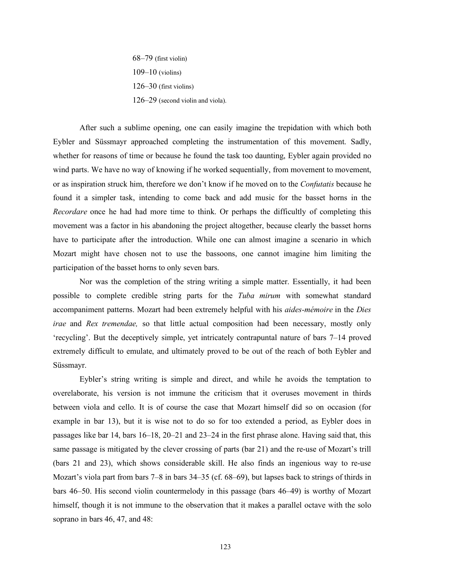68–79 (first violin) 109–10 (violins) 126–30 (first violins) 126–29 (second violin and viola).

After such a sublime opening, one can easily imagine the trepidation with which both Eybler and Süssmayr approached completing the instrumentation of this movement. Sadly, whether for reasons of time or because he found the task too daunting, Eybler again provided no wind parts. We have no way of knowing if he worked sequentially, from movement to movement, or as inspiration struck him, therefore we don't know if he moved on to the *Confutatis* because he found it a simpler task, intending to come back and add music for the basset horns in the *Recordare* once he had had more time to think. Or perhaps the difficultly of completing this movement was a factor in his abandoning the project altogether, because clearly the basset horns have to participate after the introduction. While one can almost imagine a scenario in which Mozart might have chosen not to use the bassoons, one cannot imagine him limiting the participation of the basset horns to only seven bars.

Nor was the completion of the string writing a simple matter. Essentially, it had been possible to complete credible string parts for the *Tuba mirum* with somewhat standard accompaniment patterns. Mozart had been extremely helpful with his *aides-mémoire* in the *Dies irae* and *Rex tremendae,* so that little actual composition had been necessary, mostly only 'recycling'. But the deceptively simple, yet intricately contrapuntal nature of bars 7–14 proved extremely difficult to emulate, and ultimately proved to be out of the reach of both Eybler and Süssmayr.

Eybler's string writing is simple and direct, and while he avoids the temptation to overelaborate, his version is not immune the criticism that it overuses movement in thirds between viola and cello. It is of course the case that Mozart himself did so on occasion (for example in bar 13), but it is wise not to do so for too extended a period, as Eybler does in passages like bar 14, bars 16–18, 20–21 and 23–24 in the first phrase alone. Having said that, this same passage is mitigated by the clever crossing of parts (bar 21) and the re-use of Mozart's trill (bars 21 and 23), which shows considerable skill. He also finds an ingenious way to re-use Mozart's viola part from bars 7–8 in bars 34–35 (cf. 68–69), but lapses back to strings of thirds in bars 46–50. His second violin countermelody in this passage (bars 46–49) is worthy of Mozart himself, though it is not immune to the observation that it makes a parallel octave with the solo soprano in bars 46, 47, and 48: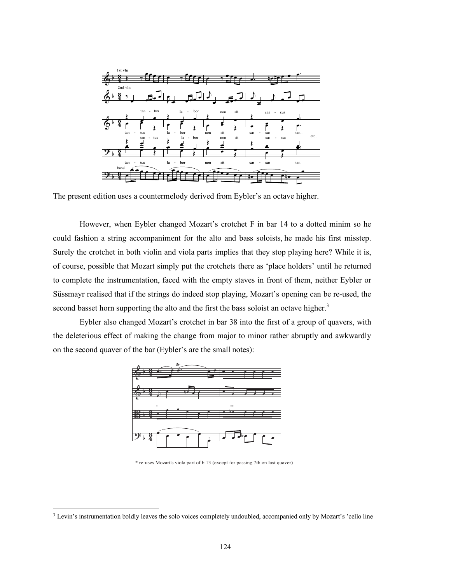

The present edition uses a countermelody derived from Eybler's an octave higher.

However, when Eybler changed Mozart's crotchet F in bar 14 to a dotted minim so he could fashion a string accompaniment for the alto and bass soloists, he made his first misstep. Surely the crotchet in both violin and viola parts implies that they stop playing here? While it is, of course, possible that Mozart simply put the crotchets there as 'place holders' until he returned to complete the instrumentation, faced with the empty staves in front of them, neither Eybler or Süssmayr realised that if the strings do indeed stop playing, Mozart's opening can be re-used, the second basset horn supporting the alto and the first the bass soloist an octave higher.<sup>3</sup>

Eybler also changed Mozart's crotchet in bar 38 into the first of a group of quavers, with the deleterious effect of making the change from major to minor rather abruptly and awkwardly on the second quaver of the bar (Eybler's are the small notes):



\* re-uses Mozart's viola part of b.13 (except for passing 7th on last quaver)

<sup>&</sup>lt;sup>3</sup> Levin's instrumentation boldly leaves the solo voices completely undoubled, accompanied only by Mozart's 'cello line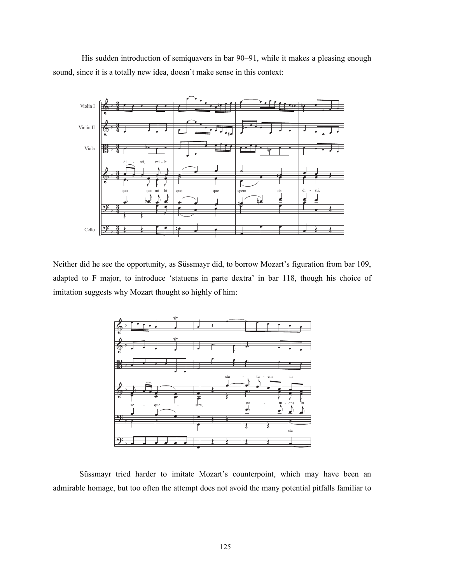His sudden introduction of semiquavers in bar 90–91, while it makes a pleasing enough sound, since it is a totally new idea, doesn't make sense in this context:



Neither did he see the opportunity, as Süssmayr did, to borrow Mozart's figuration from bar 109, adapted to F major, to introduce 'statuens in parte dextra' in bar 118, though his choice of imitation suggests why Mozart thought so highly of him:



Süssmayr tried harder to imitate Mozart's counterpoint, which may have been an admirable homage, but too often the attempt does not avoid the many potential pitfalls familiar to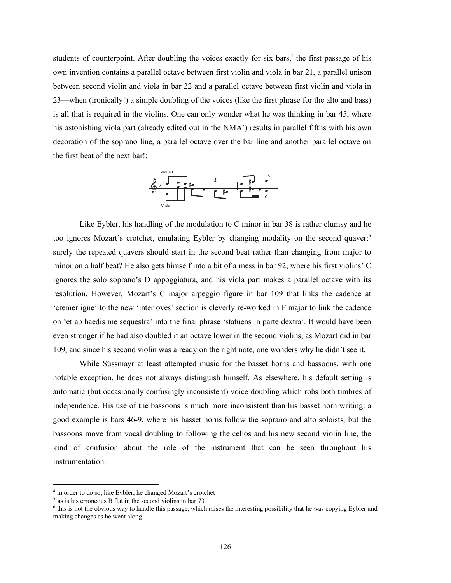students of counterpoint. After doubling the voices exactly for six bars,<sup>4</sup> the first passage of his own invention contains a parallel octave between first violin and viola in bar 21, a parallel unison between second violin and viola in bar 22 and a parallel octave between first violin and viola in 23—when (ironically!) a simple doubling of the voices (like the first phrase for the alto and bass) is all that is required in the violins. One can only wonder what he was thinking in bar 45, where his astonishing viola part (already edited out in the  $NMA<sup>5</sup>$ ) results in parallel fifths with his own decoration of the soprano line, a parallel octave over the bar line and another parallel octave on the first beat of the next bar!:



Like Eybler, his handling of the modulation to C minor in bar 38 is rather clumsy and he too ignores Mozart's crotchet, emulating Eybler by changing modality on the second quaver: 6 surely the repeated quavers should start in the second beat rather than changing from major to minor on a half beat? He also gets himself into a bit of a mess in bar 92, where his first violins' C ignores the solo soprano's D appoggiatura, and his viola part makes a parallel octave with its resolution. However, Mozart's C major arpeggio figure in bar 109 that links the cadence at 'cremer igne' to the new 'inter oves' section is cleverly re-worked in F major to link the cadence on 'et ab haedis me sequestra' into the final phrase 'statuens in parte dextra'. It would have been even stronger if he had also doubled it an octave lower in the second violins, as Mozart did in bar 109, and since his second violin was already on the right note, one wonders why he didn't see it.

While Süssmayr at least attempted music for the basset horns and bassoons, with one notable exception, he does not always distinguish himself. As elsewhere, his default setting is automatic (but occasionally confusingly inconsistent) voice doubling which robs both timbres of independence. His use of the bassoons is much more inconsistent than his basset horn writing: a good example is bars 46-9, where his basset horns follow the soprano and alto soloists, but the bassoons move from vocal doubling to following the cellos and his new second violin line, the kind of confusion about the role of the instrument that can be seen throughout his instrumentation:

 <sup>4</sup> in order to do so, like Eybler, he changed Mozart's crotchet

 $<sup>5</sup>$  as is his erroneous B flat in the second violins in bar 73</sup>

<sup>6</sup> this is not the obvious way to handle this passage, which raises the interesting possibility that he was copying Eybler and making changes as he went along.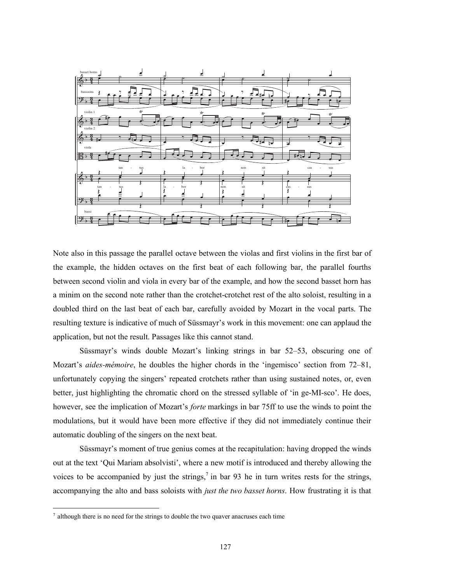

Note also in this passage the parallel octave between the violas and first violins in the first bar of the example, the hidden octaves on the first beat of each following bar, the parallel fourths between second violin and viola in every bar of the example, and how the second basset horn has a minim on the second note rather than the crotchet-crotchet rest of the alto soloist, resulting in a doubled third on the last beat of each bar, carefully avoided by Mozart in the vocal parts. The resulting texture is indicative of much of Süssmayr's work in this movement: one can applaud the application, but not the result. Passages like this cannot stand.

Süssmayr's winds double Mozart's linking strings in bar 52–53, obscuring one of Mozart's *aides-mémoire*, he doubles the higher chords in the 'ingemisco' section from 72–81, unfortunately copying the singers' repeated crotchets rather than using sustained notes, or, even better, just highlighting the chromatic chord on the stressed syllable of 'in ge-MI-sco'. He does, however, see the implication of Mozart's *forte* markings in bar 75ff to use the winds to point the modulations, but it would have been more effective if they did not immediately continue their automatic doubling of the singers on the next beat.

Süssmayr's moment of true genius comes at the recapitulation: having dropped the winds out at the text 'Qui Mariam absolvisti', where a new motif is introduced and thereby allowing the voices to be accompanied by just the strings,<sup>7</sup> in bar 93 he in turn writes rests for the strings, accompanying the alto and bass soloists with *just the two basset horns*. How frustrating it is that

 <sup>7</sup> although there is no need for the strings to double the two quaver anacruses each time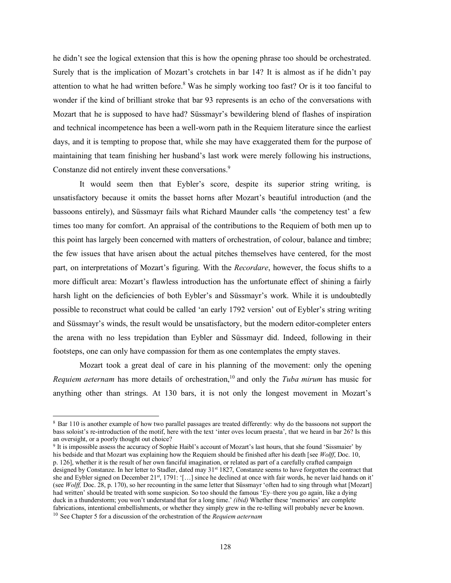he didn't see the logical extension that this is how the opening phrase too should be orchestrated. Surely that is the implication of Mozart's crotchets in bar 14? It is almost as if he didn't pay attention to what he had written before.<sup>8</sup> Was he simply working too fast? Or is it too fanciful to wonder if the kind of brilliant stroke that bar 93 represents is an echo of the conversations with Mozart that he is supposed to have had? Süssmayr's bewildering blend of flashes of inspiration and technical incompetence has been a well-worn path in the Requiem literature since the earliest days, and it is tempting to propose that, while she may have exaggerated them for the purpose of maintaining that team finishing her husband's last work were merely following his instructions, Constanze did not entirely invent these conversations.<sup>9</sup>

It would seem then that Eybler's score, despite its superior string writing, is unsatisfactory because it omits the basset horns after Mozart's beautiful introduction (and the bassoons entirely), and Süssmayr fails what Richard Maunder calls 'the competency test' a few times too many for comfort. An appraisal of the contributions to the Requiem of both men up to this point has largely been concerned with matters of orchestration, of colour, balance and timbre; the few issues that have arisen about the actual pitches themselves have centered, for the most part, on interpretations of Mozart's figuring. With the *Recordare*, however, the focus shifts to a more difficult area: Mozart's flawless introduction has the unfortunate effect of shining a fairly harsh light on the deficiencies of both Eybler's and Süssmayr's work. While it is undoubtedly possible to reconstruct what could be called 'an early 1792 version' out of Eybler's string writing and Süssmayr's winds, the result would be unsatisfactory, but the modern editor-completer enters the arena with no less trepidation than Eybler and Süssmayr did. Indeed, following in their footsteps, one can only have compassion for them as one contemplates the empty staves.

Mozart took a great deal of care in his planning of the movement: only the opening *Requiem aeternam* has more details of orchestration,<sup>10</sup> and only the *Tuba mirum* has music for anything other than strings. At 130 bars, it is not only the longest movement in Mozart's

<sup>&</sup>lt;sup>8</sup> Bar 110 is another example of how two parallel passages are treated differently: why do the bassoons not support the bass soloist's re-introduction of the motif, here with the text 'inter oves locum praesta', that we heard in bar 26? Is this an oversight, or a poorly thought out choice?

<sup>9</sup> It is impossible assess the accuracy of Sophie Haibl's account of Mozart's last hours, that she found 'Sissmaier' by his bedside and that Mozart was explaining how the Requiem should be finished after his death [see *Wolff*, Doc. 10, p. 126], whether it is the result of her own fanciful imagination, or related as part of a carefully crafted campaign designed by Constanze. In her letter to Stadler, dated may 31<sup>st</sup> 1827, Constanze seems to have forgotten the contract that she and Eybler signed on December 21<sup>st</sup>, 1791: '[...] since he declined at once with fair words, he never laid hands on it' (see *Wolff,* Doc. 28, p. 170), so her recounting in the same letter that Süssmayr 'often had to sing through what [Mozart] had written' should be treated with some suspicion. So too should the famous 'Ey–there you go again, like a dying duck in a thunderstorm; you won't understand that for a long time.' *(ibid)* Whether these 'memories' are complete fabrications, intentional embellishments, or whether they simply grew in the re-telling will probably never be known. <sup>10</sup> See Chapter 5 for a discussion of the orchestration of the *Requiem aeternam*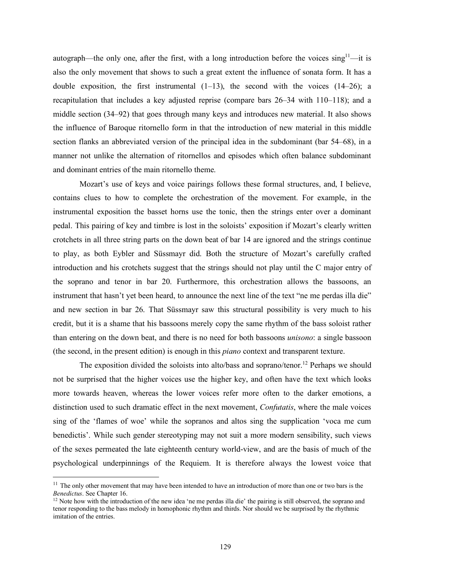autograph—the only one, after the first, with a long introduction before the voices  $\sin\theta$ <sup>11</sup>—it is also the only movement that shows to such a great extent the influence of sonata form. It has a double exposition, the first instrumental  $(1-13)$ , the second with the voices  $(14-26)$ ; a recapitulation that includes a key adjusted reprise (compare bars 26–34 with 110–118); and a middle section (34–92) that goes through many keys and introduces new material. It also shows the influence of Baroque ritornello form in that the introduction of new material in this middle section flanks an abbreviated version of the principal idea in the subdominant (bar 54–68), in a manner not unlike the alternation of ritornellos and episodes which often balance subdominant and dominant entries of the main ritornello theme.

Mozart's use of keys and voice pairings follows these formal structures, and, I believe, contains clues to how to complete the orchestration of the movement. For example, in the instrumental exposition the basset horns use the tonic, then the strings enter over a dominant pedal. This pairing of key and timbre is lost in the soloists' exposition if Mozart's clearly written crotchets in all three string parts on the down beat of bar 14 are ignored and the strings continue to play, as both Eybler and Süssmayr did. Both the structure of Mozart's carefully crafted introduction and his crotchets suggest that the strings should not play until the C major entry of the soprano and tenor in bar 20. Furthermore, this orchestration allows the bassoons, an instrument that hasn't yet been heard, to announce the next line of the text "ne me perdas illa die" and new section in bar 26. That Süssmayr saw this structural possibility is very much to his credit, but it is a shame that his bassoons merely copy the same rhythm of the bass soloist rather than entering on the down beat, and there is no need for both bassoons *unisono*: a single bassoon (the second, in the present edition) is enough in this *piano* context and transparent texture.

The exposition divided the soloists into alto/bass and soprano/tenor.<sup>12</sup> Perhaps we should not be surprised that the higher voices use the higher key, and often have the text which looks more towards heaven, whereas the lower voices refer more often to the darker emotions, a distinction used to such dramatic effect in the next movement, *Confutatis*, where the male voices sing of the 'flames of woe' while the sopranos and altos sing the supplication 'voca me cum benedictis'. While such gender stereotyping may not suit a more modern sensibility, such views of the sexes permeated the late eighteenth century world-view, and are the basis of much of the psychological underpinnings of the Requiem. It is therefore always the lowest voice that

 $11$  The only other movement that may have been intended to have an introduction of more than one or two bars is the *Benedictus*. See Chapter 16.

 $12$  Note how with the introduction of the new idea 'ne me perdas illa die' the pairing is still observed, the soprano and tenor responding to the bass melody in homophonic rhythm and thirds. Nor should we be surprised by the rhythmic imitation of the entries.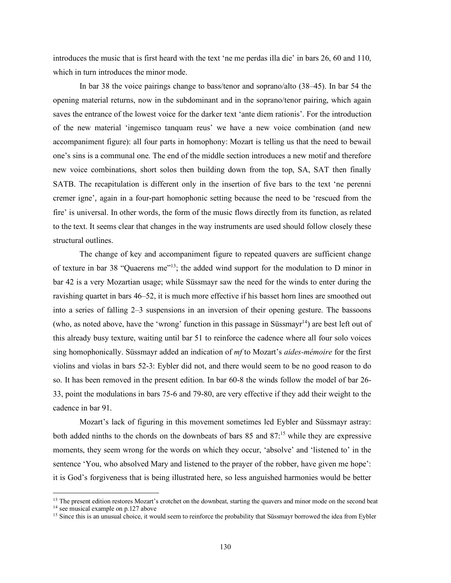introduces the music that is first heard with the text 'ne me perdas illa die' in bars 26, 60 and 110, which in turn introduces the minor mode.

In bar 38 the voice pairings change to bass/tenor and soprano/alto (38–45). In bar 54 the opening material returns, now in the subdominant and in the soprano/tenor pairing, which again saves the entrance of the lowest voice for the darker text 'ante diem rationis'. For the introduction of the new material 'ingemisco tanquam reus' we have a new voice combination (and new accompaniment figure): all four parts in homophony: Mozart is telling us that the need to bewail one's sins is a communal one. The end of the middle section introduces a new motif and therefore new voice combinations, short solos then building down from the top, SA, SAT then finally SATB. The recapitulation is different only in the insertion of five bars to the text 'ne perenni cremer igne', again in a four-part homophonic setting because the need to be 'rescued from the fire' is universal. In other words, the form of the music flows directly from its function, as related to the text. It seems clear that changes in the way instruments are used should follow closely these structural outlines.

The change of key and accompaniment figure to repeated quavers are sufficient change of texture in bar 38 "Quaerens me"<sup>13</sup>; the added wind support for the modulation to D minor in bar 42 is a very Mozartian usage; while Süssmayr saw the need for the winds to enter during the ravishing quartet in bars 46–52, it is much more effective if his basset horn lines are smoothed out into a series of falling 2–3 suspensions in an inversion of their opening gesture. The bassoons (who, as noted above, have the 'wrong' function in this passage in Süssmay<sup> $1<sup>4</sup>$ ) are best left out of</sup> this already busy texture, waiting until bar 51 to reinforce the cadence where all four solo voices sing homophonically. Süssmayr added an indication of *mf* to Mozart's *aides-mémoire* for the first violins and violas in bars 52-3: Eybler did not, and there would seem to be no good reason to do so. It has been removed in the present edition. In bar 60-8 the winds follow the model of bar 26- 33, point the modulations in bars 75-6 and 79-80, are very effective if they add their weight to the cadence in bar 91.

Mozart's lack of figuring in this movement sometimes led Eybler and Süssmayr astray: both added ninths to the chords on the downbeats of bars 85 and 87: <sup>15</sup> while they are expressive moments, they seem wrong for the words on which they occur, 'absolve' and 'listened to' in the sentence 'You, who absolved Mary and listened to the prayer of the robber, have given me hope': it is God's forgiveness that is being illustrated here, so less anguished harmonies would be better

<sup>&</sup>lt;sup>13</sup> The present edition restores Mozart's crotchet on the downbeat, starting the quavers and minor mode on the second beat

<sup>&</sup>lt;sup>14</sup> see musical example on p.127 above

<sup>&</sup>lt;sup>15</sup> Since this is an unusual choice, it would seem to reinforce the probability that Süssmayr borrowed the idea from Eybler